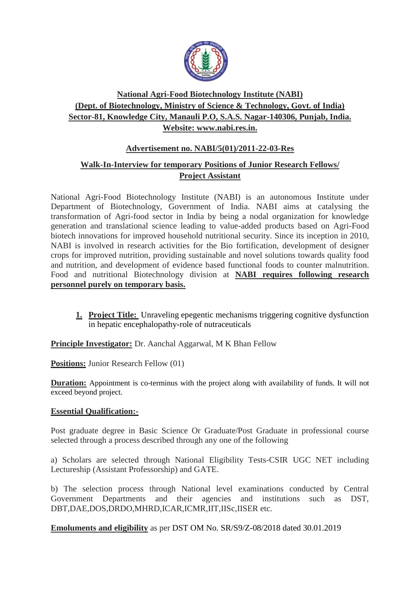

# **National Agri-Food Biotechnology Institute (NABI) (Dept. of Biotechnology, Ministry of Science & Technology, Govt. of India) Sector-81, Knowledge City, Manauli P.O, S.A.S. Nagar-140306, Punjab, India. Website: www.nabi.res.in.**

## **Advertisement no. NABI/5(01)/2011-22-03-Res**

## **Walk-In-Interview for temporary Positions of Junior Research Fellows/ Project Assistant**

National Agri-Food Biotechnology Institute (NABI) is an autonomous Institute under Department of Biotechnology, Government of India. NABI aims at catalysing the transformation of Agri-food sector in India by being a nodal organization for knowledge generation and translational science leading to value-added products based on Agri-Food biotech innovations for improved household nutritional security. Since its inception in 2010, NABI is involved in research activities for the Bio fortification, development of designer crops for improved nutrition, providing sustainable and novel solutions towards quality food and nutrition, and development of evidence based functional foods to counter malnutrition. Food and nutritional Biotechnology division at **NABI requires following research personnel purely on temporary basis.** 

**1. Project Title:** Unraveling epegentic mechanisms triggering cognitive dysfunction in hepatic encephalopathy-role of nutraceuticals

**Principle Investigator:** Dr. Aanchal Aggarwal, M K Bhan Fellow

**Positions:** Junior Research Fellow (01)

**Duration:** Appointment is co-terminus with the project along with availability of funds. It will not exceed beyond project.

### **Essential Qualification:-**

Post graduate degree in Basic Science Or Graduate/Post Graduate in professional course selected through a process described through any one of the following

a) Scholars are selected through National Eligibility Tests-CSIR UGC NET including Lectureship (Assistant Professorship) and GATE.

b) The selection process through National level examinations conducted by Central Government Departments and their agencies and institutions such as DST, DBT,DAE,DOS,DRDO,MHRD,ICAR,ICMR,IIT,IISc,IISER etc.

**Emoluments and eligibility** as per DST OM No. SR/S9/Z-08/2018 dated 30.01.2019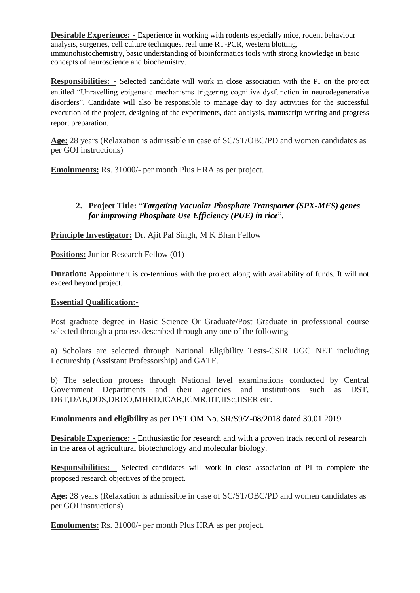**Desirable Experience:** - Experience in working with rodents especially mice, rodent behaviour analysis, surgeries, cell culture techniques, real time RT-PCR, western blotting, immunohistochemistry, basic understanding of bioinformatics tools with strong knowledge in basic concepts of neuroscience and biochemistry.

**Responsibilities: -** Selected candidate will work in close association with the PI on the project entitled "Unravelling epigenetic mechanisms triggering cognitive dysfunction in neurodegenerative disorders". Candidate will also be responsible to manage day to day activities for the successful execution of the project, designing of the experiments, data analysis, manuscript writing and progress report preparation.

**Age:** 28 years (Relaxation is admissible in case of SC/ST/OBC/PD and women candidates as per GOI instructions)

**Emoluments:** Rs. 31000/- per month Plus HRA as per project.

### **2. Project Title:** "*Targeting Vacuolar Phosphate Transporter (SPX-MFS) genes for improving Phosphate Use Efficiency (PUE) in rice*".

**Principle Investigator:** Dr. Ajit Pal Singh, M K Bhan Fellow

**Positions:** Junior Research Fellow (01)

**Duration:** Appointment is co-terminus with the project along with availability of funds. It will not exceed beyond project.

#### **Essential Qualification:-**

Post graduate degree in Basic Science Or Graduate/Post Graduate in professional course selected through a process described through any one of the following

a) Scholars are selected through National Eligibility Tests-CSIR UGC NET including Lectureship (Assistant Professorship) and GATE.

b) The selection process through National level examinations conducted by Central Government Departments and their agencies and institutions such as DST, DBT,DAE,DOS,DRDO,MHRD,ICAR,ICMR,IIT,IISc,IISER etc.

**Emoluments and eligibility** as per DST OM No. SR/S9/Z-08/2018 dated 30.01.2019

**Desirable Experience: -** Enthusiastic for research and with a proven track record of research in the area of agricultural biotechnology and molecular biology.

**Responsibilities: -** Selected candidates will work in close association of PI to complete the proposed research objectives of the project.

**Age:** 28 years (Relaxation is admissible in case of SC/ST/OBC/PD and women candidates as per GOI instructions)

**Emoluments:** Rs. 31000/- per month Plus HRA as per project.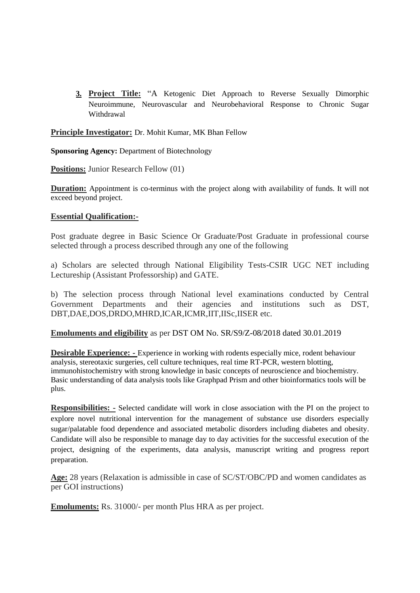**3. Project Title:** "A Ketogenic Diet Approach to Reverse Sexually Dimorphic Neuroimmune, Neurovascular and Neurobehavioral Response to Chronic Sugar Withdrawal

**Principle Investigator:** Dr. Mohit Kumar, MK Bhan Fellow

**Sponsoring Agency: Department of Biotechnology** 

**Positions:** Junior Research Fellow (01)

**Duration:** Appointment is co-terminus with the project along with availability of funds. It will not exceed beyond project.

#### **Essential Qualification:-**

Post graduate degree in Basic Science Or Graduate/Post Graduate in professional course selected through a process described through any one of the following

a) Scholars are selected through National Eligibility Tests-CSIR UGC NET including Lectureship (Assistant Professorship) and GATE.

b) The selection process through National level examinations conducted by Central Government Departments and their agencies and institutions such as DST, DBT,DAE,DOS,DRDO,MHRD,ICAR,ICMR,IIT,IISc,IISER etc.

**Emoluments and eligibility** as per DST OM No. SR/S9/Z-08/2018 dated 30.01.2019

**Desirable Experience:** - Experience in working with rodents especially mice, rodent behaviour analysis, stereotaxic surgeries, cell culture techniques, real time RT-PCR, western blotting, immunohistochemistry with strong knowledge in basic concepts of neuroscience and biochemistry. Basic understanding of data analysis tools like Graphpad Prism and other bioinformatics tools will be plus.

**Responsibilities: -** Selected candidate will work in close association with the PI on the project to explore novel nutritional intervention for the management of substance use disorders especially sugar/palatable food dependence and associated metabolic disorders including diabetes and obesity. Candidate will also be responsible to manage day to day activities for the successful execution of the project, designing of the experiments, data analysis, manuscript writing and progress report preparation.

**Age:** 28 years (Relaxation is admissible in case of SC/ST/OBC/PD and women candidates as per GOI instructions)

**Emoluments:** Rs. 31000/- per month Plus HRA as per project.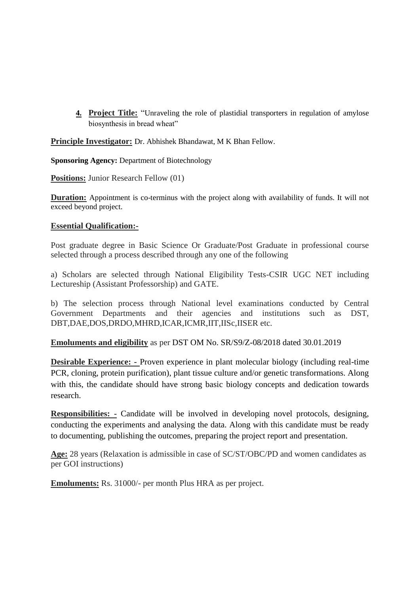**4. Project Title:** "Unraveling the role of plastidial transporters in regulation of amylose biosynthesis in bread wheat"

**Principle Investigator:** Dr. Abhishek Bhandawat, M K Bhan Fellow.

**Sponsoring Agency:** Department of Biotechnology

**Positions:** Junior Research Fellow (01)

**Duration:** Appointment is co-terminus with the project along with availability of funds. It will not exceed beyond project.

#### **Essential Qualification:-**

Post graduate degree in Basic Science Or Graduate/Post Graduate in professional course selected through a process described through any one of the following

a) Scholars are selected through National Eligibility Tests-CSIR UGC NET including Lectureship (Assistant Professorship) and GATE.

b) The selection process through National level examinations conducted by Central Government Departments and their agencies and institutions such as DST, DBT,DAE,DOS,DRDO,MHRD,ICAR,ICMR,IIT,IISc,IISER etc.

**Emoluments and eligibility** as per DST OM No. SR/S9/Z-08/2018 dated 30.01.2019

**Desirable Experience: -** Proven experience in plant molecular biology (including real-time PCR, cloning, protein purification), plant tissue culture and/or genetic transformations. Along with this, the candidate should have strong basic biology concepts and dedication towards research.

**Responsibilities: -** Candidate will be involved in developing novel protocols, designing, conducting the experiments and analysing the data. Along with this candidate must be ready to documenting, publishing the outcomes, preparing the project report and presentation.

**Age:** 28 years (Relaxation is admissible in case of SC/ST/OBC/PD and women candidates as per GOI instructions)

**Emoluments:** Rs. 31000/- per month Plus HRA as per project.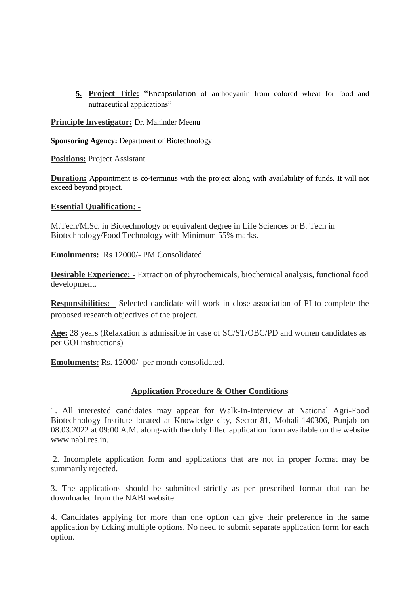**5. Project Title:** "Encapsulation of anthocyanin from colored wheat for food and nutraceutical applications"

**Principle Investigator:** Dr. Maninder Meenu

**Sponsoring Agency:** Department of Biotechnology

**Positions:** Project Assistant

**Duration:** Appointment is co-terminus with the project along with availability of funds. It will not exceed beyond project.

#### **Essential Qualification: -**

M.Tech/M.Sc. in Biotechnology or equivalent degree in Life Sciences or B. Tech in Biotechnology/Food Technology with Minimum 55% marks.

**Emoluments:** Rs 12000/- PM Consolidated

**Desirable Experience: -** Extraction of phytochemicals, biochemical analysis, functional food development.

**Responsibilities: -** Selected candidate will work in close association of PI to complete the proposed research objectives of the project.

**Age:** 28 years (Relaxation is admissible in case of SC/ST/OBC/PD and women candidates as per GOI instructions)

**Emoluments:** Rs. 12000/- per month consolidated.

#### **Application Procedure & Other Conditions**

1. All interested candidates may appear for Walk-In-Interview at National Agri-Food Biotechnology Institute located at Knowledge city, Sector-81, Mohali-140306, Punjab on 08.03.2022 at 09:00 A.M. along-with the duly filled application form available on the website [www.nabi.res.in.](http://www.nabi.res.in/)

2. Incomplete application form and applications that are not in proper format may be summarily rejected.

3. The applications should be submitted strictly as per prescribed format that can be downloaded from the NABI website.

4. Candidates applying for more than one option can give their preference in the same application by ticking multiple options. No need to submit separate application form for each option.